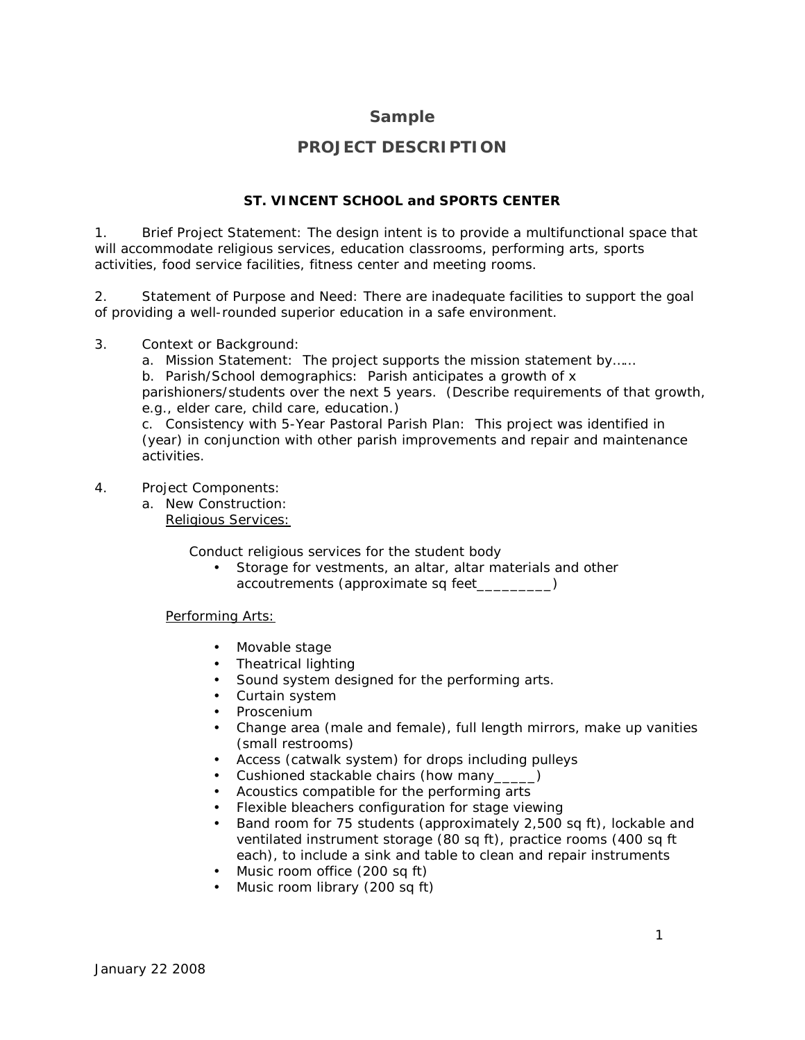## **Sample**

# **PROJECT DESCRIPTION**

### **ST. VINCENT SCHOOL and SPORTS CENTER**

1. Brief Project Statement: *The design intent is to provide a multifunctional space that will accommodate religious services, education classrooms, performing arts, sports activities, food service facilities, fitness center and meeting rooms.*

2. Statement of Purpose and Need: *There are inadequate facilities to support the goal of providing a well-rounded superior education in a safe environment.*

#### 3. Context or Background:

a. Mission Statement: *The project supports the mission statement by……*

b. Parish/School demographics: *Parish anticipates a growth of x* 

*parishioners/students over the next 5 years. (Describe requirements of that growth, e.g., elder care, child care, education*.)

c. Consistency with 5-Year Pastoral Parish Plan: *This project was identified in (year) in conjunction with other parish improvements and repair and maintenance activities.*

#### 4. Project Components:

a. New Construction: Religious Services:

Conduct religious services for the student body

• Storage for vestments, an altar, altar materials and other accoutrements (approximate sq feet\_\_\_\_\_\_\_\_\_)

Performing Arts:

- Movable stage
- Theatrical lighting
- Sound system designed for the performing arts.
- Curtain system
- Proscenium
- Change area (male and female), full length mirrors, make up vanities (small restrooms)
- Access (catwalk system) for drops including pulleys
- Cushioned stackable chairs (how many\_\_\_\_\_)
- Acoustics compatible for the performing arts
- Flexible bleachers configuration for stage viewing
- Band room for 75 students (approximately 2,500 sq ft), lockable and ventilated instrument storage (80 sq ft), practice rooms (400 sq ft each), to include a sink and table to clean and repair instruments
- Music room office (200 sq ft)
- Music room library (200 sq ft)